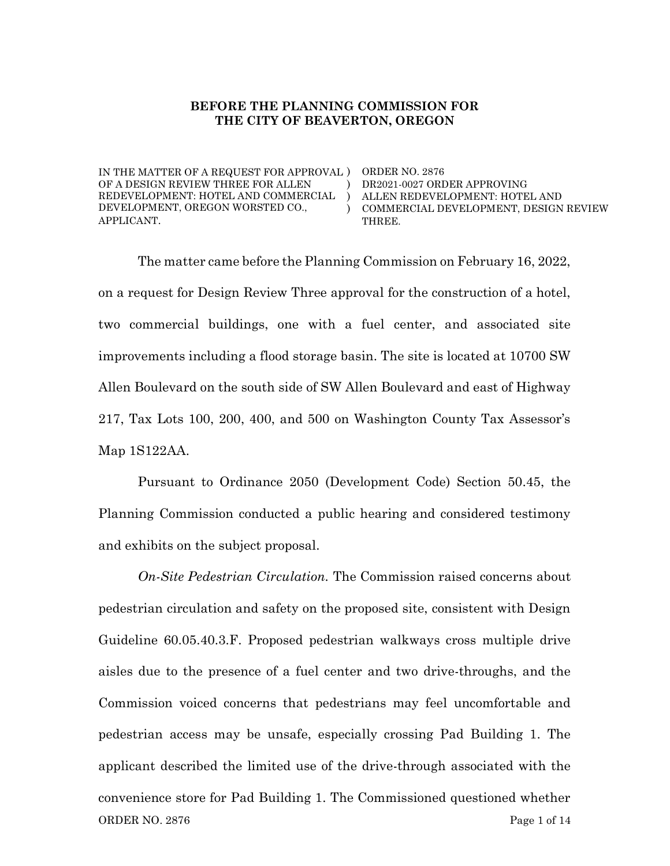#### BEFORE THE PLANNING COMMISSION FOR THE CITY OF BEAVERTON, OREGON

) )  $\lambda$ 

IN THE MATTER OF A REQUEST FOR APPROVAL ) ORDER NO. 2876 OF A DESIGN REVIEW THREE FOR ALLEN REDEVELOPMENT: HOTEL AND COMMERCIAL DEVELOPMENT, OREGON WORSTED CO., APPLICANT.

DR2021-0027 ORDER APPROVING ALLEN REDEVELOPMENT: HOTEL AND COMMERCIAL DEVELOPMENT, DESIGN REVIEW THREE.

The matter came before the Planning Commission on February 16, 2022, on a request for Design Review Three approval for the construction of a hotel, two commercial buildings, one with a fuel center, and associated site improvements including a flood storage basin. The site is located at 10700 SW Allen Boulevard on the south side of SW Allen Boulevard and east of Highway 217, Tax Lots 100, 200, 400, and 500 on Washington County Tax Assessor's Map 1S122AA.

Pursuant to Ordinance 2050 (Development Code) Section 50.45, the Planning Commission conducted a public hearing and considered testimony and exhibits on the subject proposal.

ORDER NO. 2876 Page 1 of 14 On-Site Pedestrian Circulation. The Commission raised concerns about pedestrian circulation and safety on the proposed site, consistent with Design Guideline 60.05.40.3.F. Proposed pedestrian walkways cross multiple drive aisles due to the presence of a fuel center and two drive-throughs, and the Commission voiced concerns that pedestrians may feel uncomfortable and pedestrian access may be unsafe, especially crossing Pad Building 1. The applicant described the limited use of the drive-through associated with the convenience store for Pad Building 1. The Commissioned questioned whether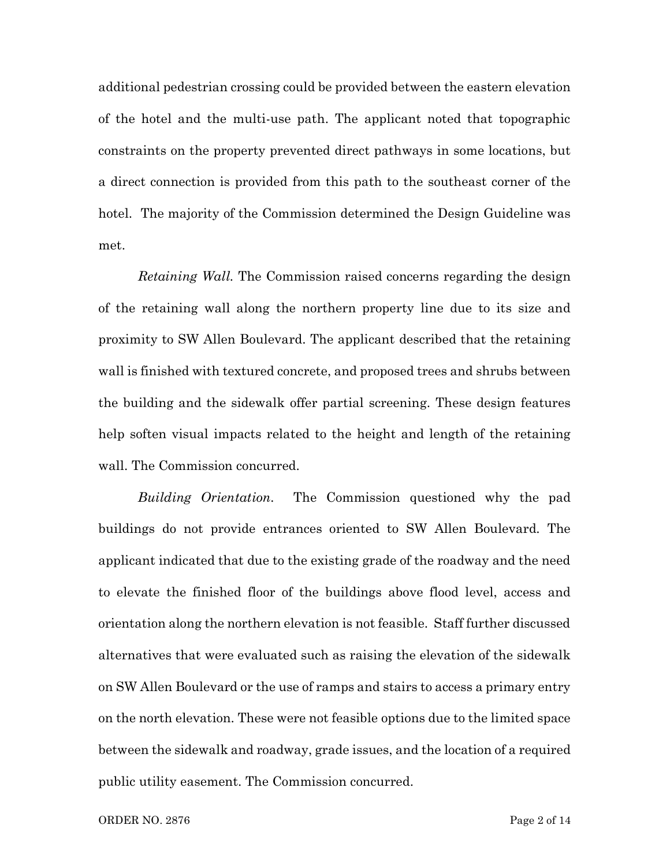additional pedestrian crossing could be provided between the eastern elevation of the hotel and the multi-use path. The applicant noted that topographic constraints on the property prevented direct pathways in some locations, but a direct connection is provided from this path to the southeast corner of the hotel. The majority of the Commission determined the Design Guideline was met.

Retaining Wall. The Commission raised concerns regarding the design of the retaining wall along the northern property line due to its size and proximity to SW Allen Boulevard. The applicant described that the retaining wall is finished with textured concrete, and proposed trees and shrubs between the building and the sidewalk offer partial screening. These design features help soften visual impacts related to the height and length of the retaining wall. The Commission concurred.

Building Orientation. The Commission questioned why the pad buildings do not provide entrances oriented to SW Allen Boulevard. The applicant indicated that due to the existing grade of the roadway and the need to elevate the finished floor of the buildings above flood level, access and orientation along the northern elevation is not feasible. Staff further discussed alternatives that were evaluated such as raising the elevation of the sidewalk on SW Allen Boulevard or the use of ramps and stairs to access a primary entry on the north elevation. These were not feasible options due to the limited space between the sidewalk and roadway, grade issues, and the location of a required public utility easement. The Commission concurred.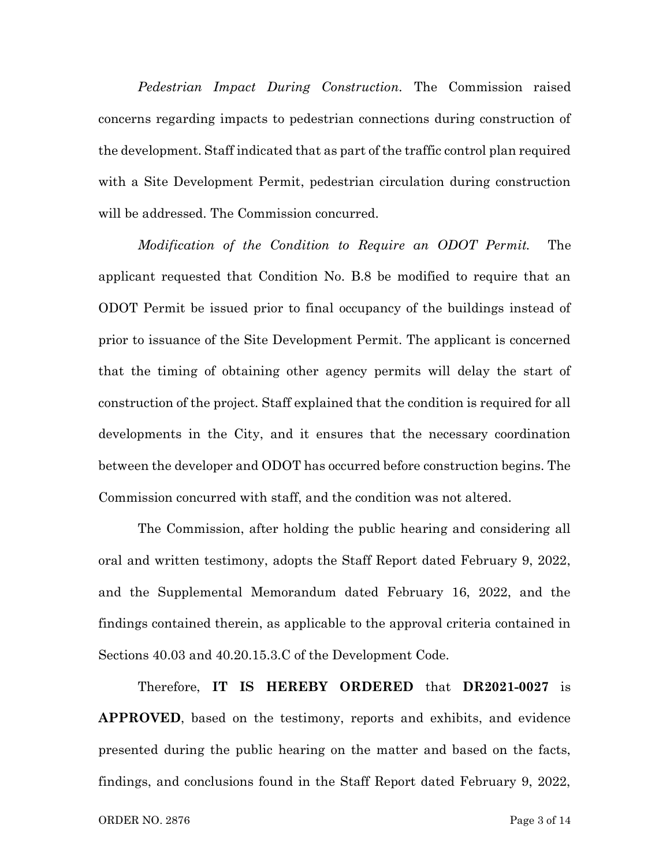Pedestrian Impact During Construction. The Commission raised concerns regarding impacts to pedestrian connections during construction of the development. Staff indicated that as part of the traffic control plan required with a Site Development Permit, pedestrian circulation during construction will be addressed. The Commission concurred.

Modification of the Condition to Require an ODOT Permit. The applicant requested that Condition No. B.8 be modified to require that an ODOT Permit be issued prior to final occupancy of the buildings instead of prior to issuance of the Site Development Permit. The applicant is concerned that the timing of obtaining other agency permits will delay the start of construction of the project. Staff explained that the condition is required for all developments in the City, and it ensures that the necessary coordination between the developer and ODOT has occurred before construction begins. The Commission concurred with staff, and the condition was not altered.

The Commission, after holding the public hearing and considering all oral and written testimony, adopts the Staff Report dated February 9, 2022, and the Supplemental Memorandum dated February 16, 2022, and the findings contained therein, as applicable to the approval criteria contained in Sections 40.03 and 40.20.15.3.C of the Development Code.

Therefore, IT IS HEREBY ORDERED that DR2021-0027 is APPROVED, based on the testimony, reports and exhibits, and evidence presented during the public hearing on the matter and based on the facts, findings, and conclusions found in the Staff Report dated February 9, 2022,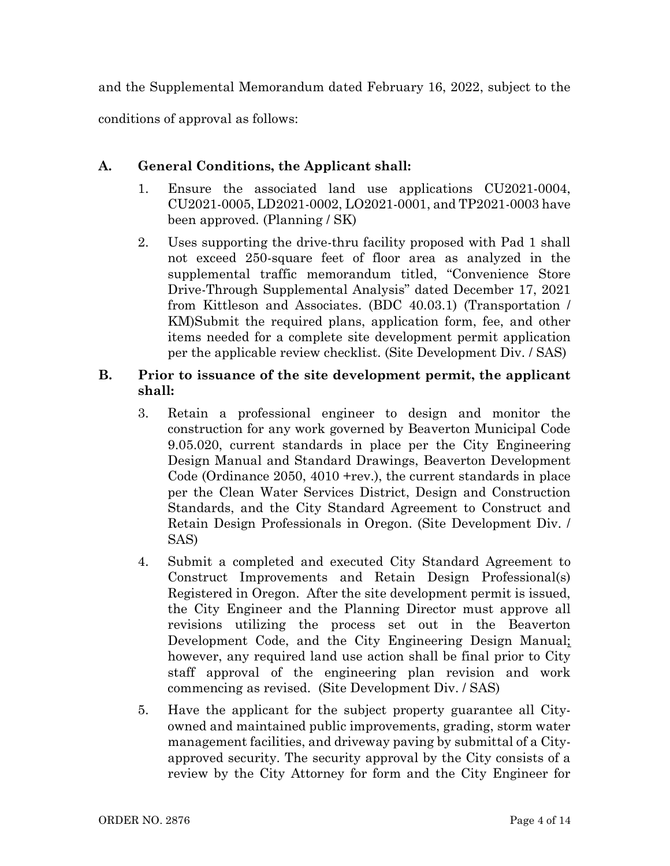and the Supplemental Memorandum dated February 16, 2022, subject to the conditions of approval as follows:

# A. General Conditions, the Applicant shall:

- 1. Ensure the associated land use applications CU2021-0004, CU2021-0005, LD2021-0002, LO2021-0001, and TP2021-0003 have been approved. (Planning / SK)
- 2. Uses supporting the drive-thru facility proposed with Pad 1 shall not exceed 250-square feet of floor area as analyzed in the supplemental traffic memorandum titled, "Convenience Store Drive-Through Supplemental Analysis" dated December 17, 2021 from Kittleson and Associates. (BDC 40.03.1) (Transportation / KM)Submit the required plans, application form, fee, and other items needed for a complete site development permit application per the applicable review checklist. (Site Development Div. / SAS)

## B. Prior to issuance of the site development permit, the applicant shall:

- 3. Retain a professional engineer to design and monitor the construction for any work governed by Beaverton Municipal Code 9.05.020, current standards in place per the City Engineering Design Manual and Standard Drawings, Beaverton Development Code (Ordinance 2050, 4010 +rev.), the current standards in place per the Clean Water Services District, Design and Construction Standards, and the City Standard Agreement to Construct and Retain Design Professionals in Oregon. (Site Development Div. / SAS)
- 4. Submit a completed and executed City Standard Agreement to Construct Improvements and Retain Design Professional(s) Registered in Oregon. After the site development permit is issued, the City Engineer and the Planning Director must approve all revisions utilizing the process set out in the Beaverton Development Code, and the City Engineering Design Manual; however, any required land use action shall be final prior to City staff approval of the engineering plan revision and work commencing as revised. (Site Development Div. / SAS)
- 5. Have the applicant for the subject property guarantee all Cityowned and maintained public improvements, grading, storm water management facilities, and driveway paving by submittal of a Cityapproved security. The security approval by the City consists of a review by the City Attorney for form and the City Engineer for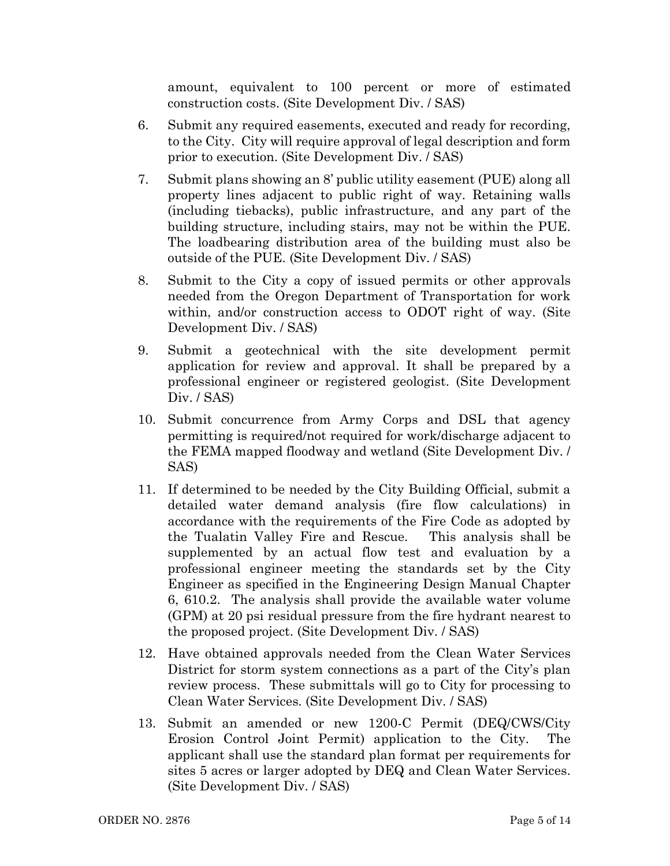amount, equivalent to 100 percent or more of estimated construction costs. (Site Development Div. / SAS)

- 6. Submit any required easements, executed and ready for recording, to the City. City will require approval of legal description and form prior to execution. (Site Development Div. / SAS)
- 7. Submit plans showing an 8' public utility easement (PUE) along all property lines adjacent to public right of way. Retaining walls (including tiebacks), public infrastructure, and any part of the building structure, including stairs, may not be within the PUE. The loadbearing distribution area of the building must also be outside of the PUE. (Site Development Div. / SAS)
- 8. Submit to the City a copy of issued permits or other approvals needed from the Oregon Department of Transportation for work within, and/or construction access to ODOT right of way. (Site Development Div. / SAS)
- 9. Submit a geotechnical with the site development permit application for review and approval. It shall be prepared by a professional engineer or registered geologist. (Site Development Div. / SAS)
- 10. Submit concurrence from Army Corps and DSL that agency permitting is required/not required for work/discharge adjacent to the FEMA mapped floodway and wetland (Site Development Div. / SAS)
- 11. If determined to be needed by the City Building Official, submit a detailed water demand analysis (fire flow calculations) in accordance with the requirements of the Fire Code as adopted by the Tualatin Valley Fire and Rescue. This analysis shall be supplemented by an actual flow test and evaluation by a professional engineer meeting the standards set by the City Engineer as specified in the Engineering Design Manual Chapter 6, 610.2. The analysis shall provide the available water volume (GPM) at 20 psi residual pressure from the fire hydrant nearest to the proposed project. (Site Development Div. / SAS)
- 12. Have obtained approvals needed from the Clean Water Services District for storm system connections as a part of the City's plan review process. These submittals will go to City for processing to Clean Water Services. (Site Development Div. / SAS)
- 13. Submit an amended or new 1200-C Permit (DEQ/CWS/City Erosion Control Joint Permit) application to the City. The applicant shall use the standard plan format per requirements for sites 5 acres or larger adopted by DEQ and Clean Water Services. (Site Development Div. / SAS)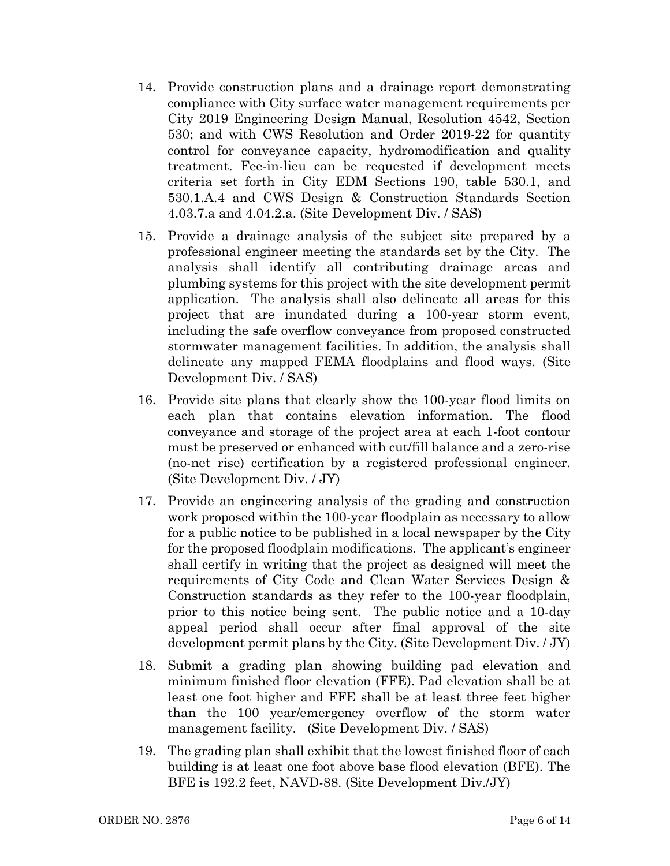- 14. Provide construction plans and a drainage report demonstrating compliance with City surface water management requirements per City 2019 Engineering Design Manual, Resolution 4542, Section 530; and with CWS Resolution and Order 2019-22 for quantity control for conveyance capacity, hydromodification and quality treatment. Fee-in-lieu can be requested if development meets criteria set forth in City EDM Sections 190, table 530.1, and 530.1.A.4 and CWS Design & Construction Standards Section 4.03.7.a and 4.04.2.a. (Site Development Div. / SAS)
- 15. Provide a drainage analysis of the subject site prepared by a professional engineer meeting the standards set by the City. The analysis shall identify all contributing drainage areas and plumbing systems for this project with the site development permit application. The analysis shall also delineate all areas for this project that are inundated during a 100-year storm event, including the safe overflow conveyance from proposed constructed stormwater management facilities. In addition, the analysis shall delineate any mapped FEMA floodplains and flood ways. (Site Development Div. / SAS)
- 16. Provide site plans that clearly show the 100-year flood limits on each plan that contains elevation information. The flood conveyance and storage of the project area at each 1-foot contour must be preserved or enhanced with cut/fill balance and a zero-rise (no-net rise) certification by a registered professional engineer. (Site Development Div. / JY)
- 17. Provide an engineering analysis of the grading and construction work proposed within the 100-year floodplain as necessary to allow for a public notice to be published in a local newspaper by the City for the proposed floodplain modifications. The applicant's engineer shall certify in writing that the project as designed will meet the requirements of City Code and Clean Water Services Design & Construction standards as they refer to the 100-year floodplain, prior to this notice being sent. The public notice and a 10-day appeal period shall occur after final approval of the site development permit plans by the City. (Site Development Div. / JY)
- 18. Submit a grading plan showing building pad elevation and minimum finished floor elevation (FFE). Pad elevation shall be at least one foot higher and FFE shall be at least three feet higher than the 100 year/emergency overflow of the storm water management facility. (Site Development Div. / SAS)
- 19. The grading plan shall exhibit that the lowest finished floor of each building is at least one foot above base flood elevation (BFE). The BFE is 192.2 feet, NAVD-88. (Site Development Div./JY)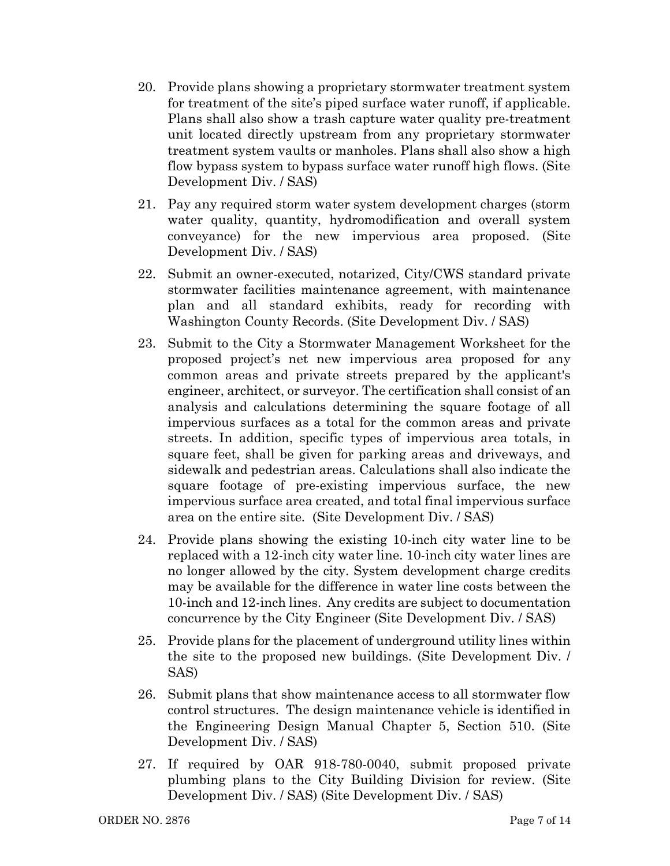- 20. Provide plans showing a proprietary stormwater treatment system for treatment of the site's piped surface water runoff, if applicable. Plans shall also show a trash capture water quality pre-treatment unit located directly upstream from any proprietary stormwater treatment system vaults or manholes. Plans shall also show a high flow bypass system to bypass surface water runoff high flows. (Site Development Div. / SAS)
- 21. Pay any required storm water system development charges (storm water quality, quantity, hydromodification and overall system conveyance) for the new impervious area proposed. (Site Development Div. / SAS)
- 22. Submit an owner-executed, notarized, City/CWS standard private stormwater facilities maintenance agreement, with maintenance plan and all standard exhibits, ready for recording with Washington County Records. (Site Development Div. / SAS)
- 23. Submit to the City a Stormwater Management Worksheet for the proposed project's net new impervious area proposed for any common areas and private streets prepared by the applicant's engineer, architect, or surveyor. The certification shall consist of an analysis and calculations determining the square footage of all impervious surfaces as a total for the common areas and private streets. In addition, specific types of impervious area totals, in square feet, shall be given for parking areas and driveways, and sidewalk and pedestrian areas. Calculations shall also indicate the square footage of pre-existing impervious surface, the new impervious surface area created, and total final impervious surface area on the entire site. (Site Development Div. / SAS)
- 24. Provide plans showing the existing 10-inch city water line to be replaced with a 12-inch city water line. 10-inch city water lines are no longer allowed by the city. System development charge credits may be available for the difference in water line costs between the 10-inch and 12-inch lines. Any credits are subject to documentation concurrence by the City Engineer (Site Development Div. / SAS)
- 25. Provide plans for the placement of underground utility lines within the site to the proposed new buildings. (Site Development Div. / SAS)
- 26. Submit plans that show maintenance access to all stormwater flow control structures. The design maintenance vehicle is identified in the Engineering Design Manual Chapter 5, Section 510. (Site Development Div. / SAS)
- 27. If required by OAR 918-780-0040, submit proposed private plumbing plans to the City Building Division for review. (Site Development Div. / SAS) (Site Development Div. / SAS)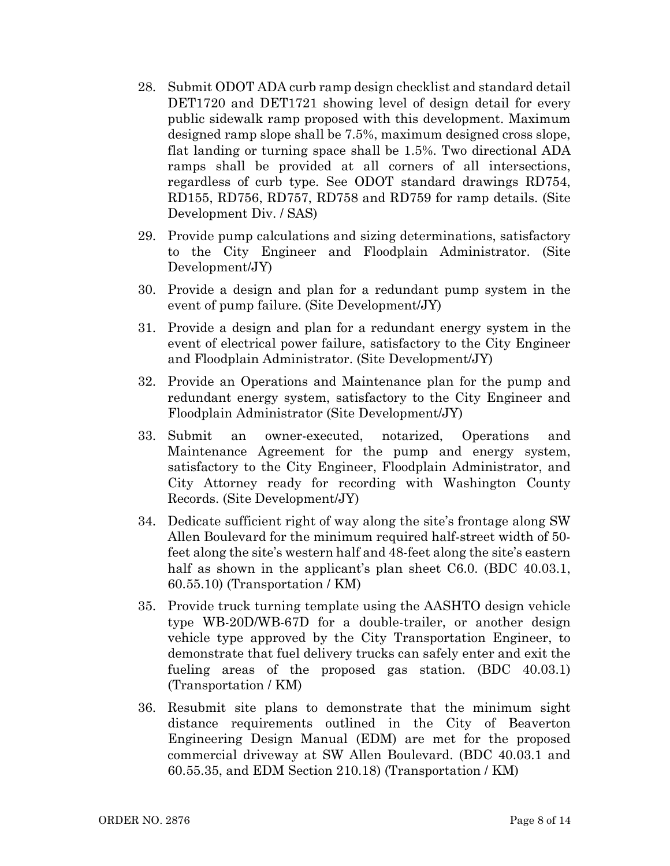- 28. Submit ODOT ADA curb ramp design checklist and standard detail DET1720 and DET1721 showing level of design detail for every public sidewalk ramp proposed with this development. Maximum designed ramp slope shall be 7.5%, maximum designed cross slope, flat landing or turning space shall be 1.5%. Two directional ADA ramps shall be provided at all corners of all intersections, regardless of curb type. See ODOT standard drawings RD754, RD155, RD756, RD757, RD758 and RD759 for ramp details. (Site Development Div. / SAS)
- 29. Provide pump calculations and sizing determinations, satisfactory to the City Engineer and Floodplain Administrator. (Site Development/JY)
- 30. Provide a design and plan for a redundant pump system in the event of pump failure. (Site Development/JY)
- 31. Provide a design and plan for a redundant energy system in the event of electrical power failure, satisfactory to the City Engineer and Floodplain Administrator. (Site Development/JY)
- 32. Provide an Operations and Maintenance plan for the pump and redundant energy system, satisfactory to the City Engineer and Floodplain Administrator (Site Development/JY)
- 33. Submit an owner-executed, notarized, Operations and Maintenance Agreement for the pump and energy system, satisfactory to the City Engineer, Floodplain Administrator, and City Attorney ready for recording with Washington County Records. (Site Development/JY)
- 34. Dedicate sufficient right of way along the site's frontage along SW Allen Boulevard for the minimum required half-street width of 50 feet along the site's western half and 48-feet along the site's eastern half as shown in the applicant's plan sheet C6.0. (BDC 40.03.1, 60.55.10) (Transportation / KM)
- 35. Provide truck turning template using the AASHTO design vehicle type WB-20D/WB-67D for a double-trailer, or another design vehicle type approved by the City Transportation Engineer, to demonstrate that fuel delivery trucks can safely enter and exit the fueling areas of the proposed gas station. (BDC 40.03.1) (Transportation / KM)
- 36. Resubmit site plans to demonstrate that the minimum sight distance requirements outlined in the City of Beaverton Engineering Design Manual (EDM) are met for the proposed commercial driveway at SW Allen Boulevard. (BDC 40.03.1 and 60.55.35, and EDM Section 210.18) (Transportation / KM)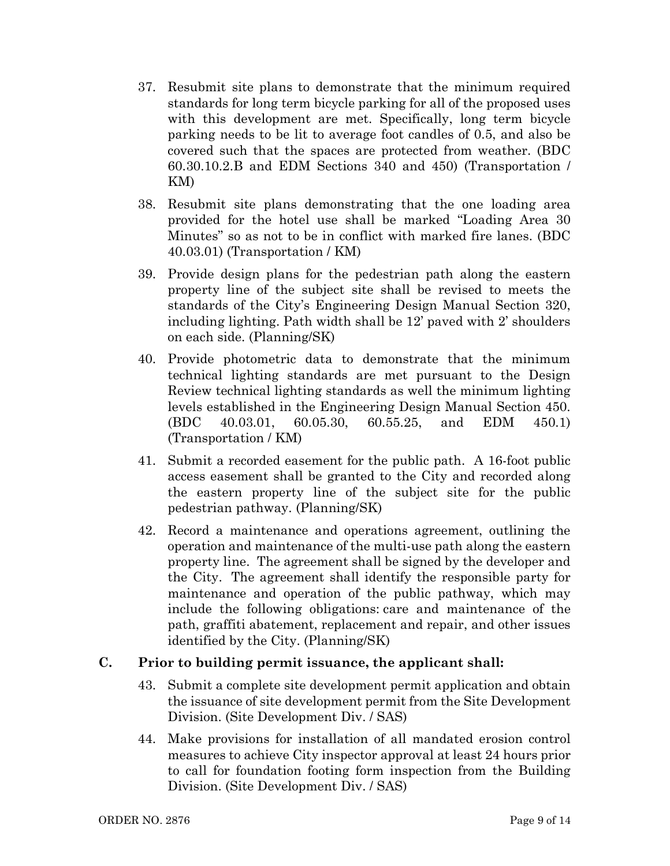- 37. Resubmit site plans to demonstrate that the minimum required standards for long term bicycle parking for all of the proposed uses with this development are met. Specifically, long term bicycle parking needs to be lit to average foot candles of 0.5, and also be covered such that the spaces are protected from weather. (BDC 60.30.10.2.B and EDM Sections 340 and 450) (Transportation / KM)
- 38. Resubmit site plans demonstrating that the one loading area provided for the hotel use shall be marked "Loading Area 30 Minutes" so as not to be in conflict with marked fire lanes. (BDC 40.03.01) (Transportation / KM)
- 39. Provide design plans for the pedestrian path along the eastern property line of the subject site shall be revised to meets the standards of the City's Engineering Design Manual Section 320, including lighting. Path width shall be 12' paved with 2' shoulders on each side. (Planning/SK)
- 40. Provide photometric data to demonstrate that the minimum technical lighting standards are met pursuant to the Design Review technical lighting standards as well the minimum lighting levels established in the Engineering Design Manual Section 450. (BDC 40.03.01, 60.05.30, 60.55.25, and EDM 450.1) (Transportation / KM)
- 41. Submit a recorded easement for the public path. A 16-foot public access easement shall be granted to the City and recorded along the eastern property line of the subject site for the public pedestrian pathway. (Planning/SK)
- 42. Record a maintenance and operations agreement, outlining the operation and maintenance of the multi-use path along the eastern property line. The agreement shall be signed by the developer and the City. The agreement shall identify the responsible party for maintenance and operation of the public pathway, which may include the following obligations: care and maintenance of the path, graffiti abatement, replacement and repair, and other issues identified by the City. (Planning/SK)

#### C. Prior to building permit issuance, the applicant shall:

- 43. Submit a complete site development permit application and obtain the issuance of site development permit from the Site Development Division. (Site Development Div. / SAS)
- 44. Make provisions for installation of all mandated erosion control measures to achieve City inspector approval at least 24 hours prior to call for foundation footing form inspection from the Building Division. (Site Development Div. / SAS)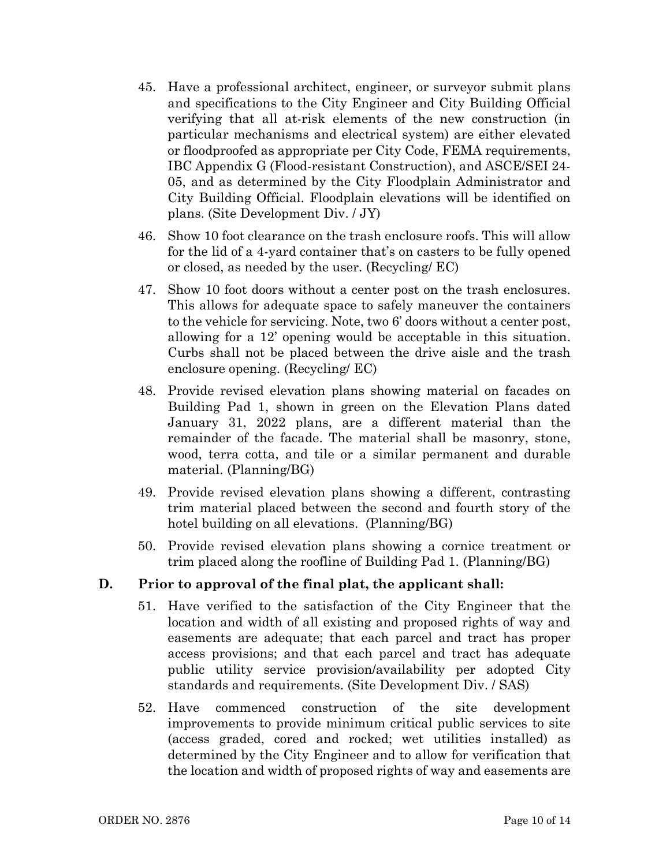- 45. Have a professional architect, engineer, or surveyor submit plans and specifications to the City Engineer and City Building Official verifying that all at-risk elements of the new construction (in particular mechanisms and electrical system) are either elevated or floodproofed as appropriate per City Code, FEMA requirements, IBC Appendix G (Flood-resistant Construction), and ASCE/SEI 24- 05, and as determined by the City Floodplain Administrator and City Building Official. Floodplain elevations will be identified on plans. (Site Development Div. / JY)
- 46. Show 10 foot clearance on the trash enclosure roofs. This will allow for the lid of a 4-yard container that's on casters to be fully opened or closed, as needed by the user. (Recycling/ EC)
- 47. Show 10 foot doors without a center post on the trash enclosures. This allows for adequate space to safely maneuver the containers to the vehicle for servicing. Note, two 6' doors without a center post, allowing for a 12' opening would be acceptable in this situation. Curbs shall not be placed between the drive aisle and the trash enclosure opening. (Recycling/ EC)
- 48. Provide revised elevation plans showing material on facades on Building Pad 1, shown in green on the Elevation Plans dated January 31, 2022 plans, are a different material than the remainder of the facade. The material shall be masonry, stone, wood, terra cotta, and tile or a similar permanent and durable material. (Planning/BG)
- 49. Provide revised elevation plans showing a different, contrasting trim material placed between the second and fourth story of the hotel building on all elevations. (Planning/BG)
- 50. Provide revised elevation plans showing a cornice treatment or trim placed along the roofline of Building Pad 1. (Planning/BG)

# D. Prior to approval of the final plat, the applicant shall:

- 51. Have verified to the satisfaction of the City Engineer that the location and width of all existing and proposed rights of way and easements are adequate; that each parcel and tract has proper access provisions; and that each parcel and tract has adequate public utility service provision/availability per adopted City standards and requirements. (Site Development Div. / SAS)
- 52. Have commenced construction of the site development improvements to provide minimum critical public services to site (access graded, cored and rocked; wet utilities installed) as determined by the City Engineer and to allow for verification that the location and width of proposed rights of way and easements are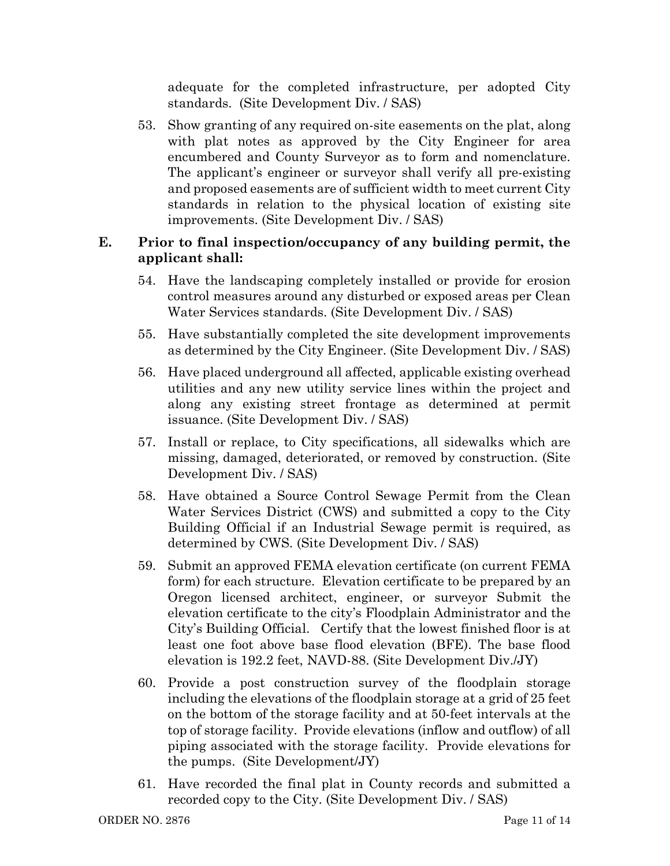adequate for the completed infrastructure, per adopted City standards. (Site Development Div. / SAS)

53. Show granting of any required on-site easements on the plat, along with plat notes as approved by the City Engineer for area encumbered and County Surveyor as to form and nomenclature. The applicant's engineer or surveyor shall verify all pre-existing and proposed easements are of sufficient width to meet current City standards in relation to the physical location of existing site improvements. (Site Development Div. / SAS)

## E. Prior to final inspection/occupancy of any building permit, the applicant shall:

- 54. Have the landscaping completely installed or provide for erosion control measures around any disturbed or exposed areas per Clean Water Services standards. (Site Development Div. / SAS)
- 55. Have substantially completed the site development improvements as determined by the City Engineer. (Site Development Div. / SAS)
- 56. Have placed underground all affected, applicable existing overhead utilities and any new utility service lines within the project and along any existing street frontage as determined at permit issuance. (Site Development Div. / SAS)
- 57. Install or replace, to City specifications, all sidewalks which are missing, damaged, deteriorated, or removed by construction. (Site Development Div. / SAS)
- 58. Have obtained a Source Control Sewage Permit from the Clean Water Services District (CWS) and submitted a copy to the City Building Official if an Industrial Sewage permit is required, as determined by CWS. (Site Development Div. / SAS)
- 59. Submit an approved FEMA elevation certificate (on current FEMA form) for each structure. Elevation certificate to be prepared by an Oregon licensed architect, engineer, or surveyor Submit the elevation certificate to the city's Floodplain Administrator and the City's Building Official. Certify that the lowest finished floor is at least one foot above base flood elevation (BFE). The base flood elevation is 192.2 feet, NAVD-88. (Site Development Div./JY)
- 60. Provide a post construction survey of the floodplain storage including the elevations of the floodplain storage at a grid of 25 feet on the bottom of the storage facility and at 50-feet intervals at the top of storage facility. Provide elevations (inflow and outflow) of all piping associated with the storage facility. Provide elevations for the pumps. (Site Development/JY)
- 61. Have recorded the final plat in County records and submitted a recorded copy to the City. (Site Development Div. / SAS)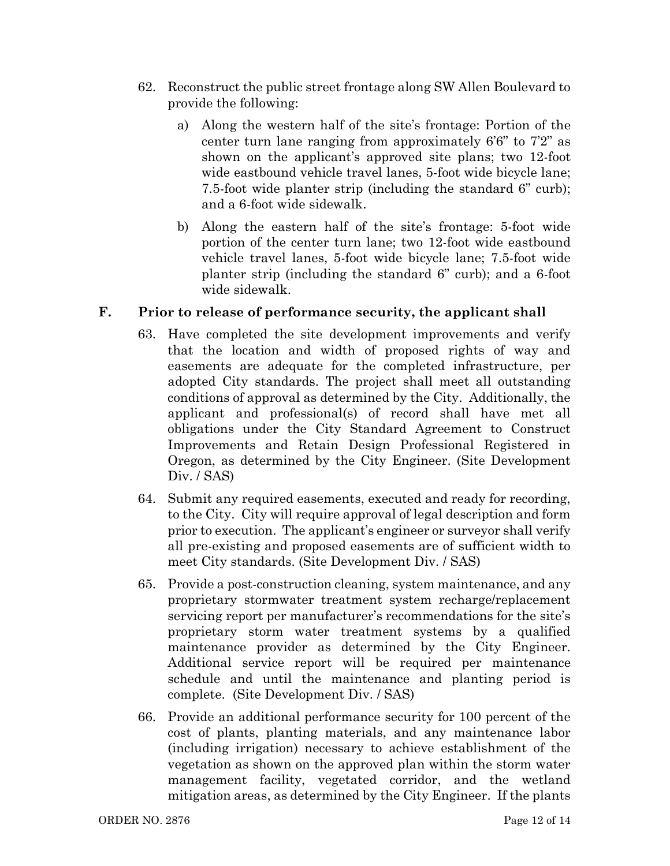- 62. Reconstruct the public street frontage along SW Allen Boulevard to provide the following:
	- a) Along the western half of the site's frontage: Portion of the center turn lane ranging from approximately 6'6" to 7'2" as shown on the applicant's approved site plans; two 12-foot wide eastbound vehicle travel lanes, 5-foot wide bicycle lane; 7.5-foot wide planter strip (including the standard 6" curb); and a 6-foot wide sidewalk.
	- b) Along the eastern half of the site's frontage: 5-foot wide portion of the center turn lane; two 12-foot wide eastbound vehicle travel lanes, 5-foot wide bicycle lane; 7.5-foot wide planter strip (including the standard 6" curb); and a 6-foot wide sidewalk.

## F. Prior to release of performance security, the applicant shall

- 63. Have completed the site development improvements and verify that the location and width of proposed rights of way and easements are adequate for the completed infrastructure, per adopted City standards. The project shall meet all outstanding conditions of approval as determined by the City. Additionally, the applicant and professional(s) of record shall have met all obligations under the City Standard Agreement to Construct Improvements and Retain Design Professional Registered in Oregon, as determined by the City Engineer. (Site Development Div. / SAS)
- 64. Submit any required easements, executed and ready for recording, to the City. City will require approval of legal description and form prior to execution. The applicant's engineer or surveyor shall verify all pre-existing and proposed easements are of sufficient width to meet City standards. (Site Development Div. / SAS)
- 65. Provide a post-construction cleaning, system maintenance, and any proprietary stormwater treatment system recharge/replacement servicing report per manufacturer's recommendations for the site's proprietary storm water treatment systems by a qualified maintenance provider as determined by the City Engineer. Additional service report will be required per maintenance schedule and until the maintenance and planting period is complete. (Site Development Div. / SAS)
- 66. Provide an additional performance security for 100 percent of the cost of plants, planting materials, and any maintenance labor (including irrigation) necessary to achieve establishment of the vegetation as shown on the approved plan within the storm water management facility, vegetated corridor, and the wetland mitigation areas, as determined by the City Engineer. If the plants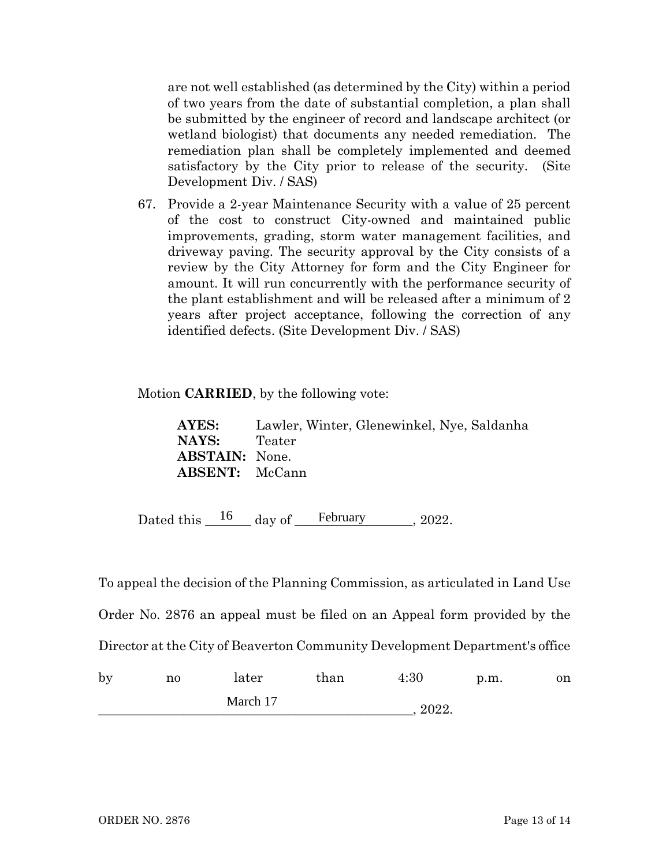are not well established (as determined by the City) within a period of two years from the date of substantial completion, a plan shall be submitted by the engineer of record and landscape architect (or wetland biologist) that documents any needed remediation. The remediation plan shall be completely implemented and deemed satisfactory by the City prior to release of the security. (Site Development Div. / SAS)

67. Provide a 2-year Maintenance Security with a value of 25 percent of the cost to construct City-owned and maintained public improvements, grading, storm water management facilities, and driveway paving. The security approval by the City consists of a review by the City Attorney for form and the City Engineer for amount. It will run concurrently with the performance security of the plant establishment and will be released after a minimum of 2 years after project acceptance, following the correction of any identified defects. (Site Development Div. / SAS)

Motion CARRIED, by the following vote:

AYES: Lawler, Winter, Glenewinkel, Nye, Saldanha NAYS: Teater ABSTAIN: None. ABSENT: McCann

Dated this  $\frac{16}{\text{day of}}$  February 2022.

To appeal the decision of the Planning Commission, as articulated in Land Use

Order No. 2876 an appeal must be filed on an Appeal form provided by the

Director at the City of Beaverton Community Development Department's office

| by | no       | later | than | 4:30  | p.m. | on |
|----|----------|-------|------|-------|------|----|
|    | March 17 |       |      | 2022. |      |    |